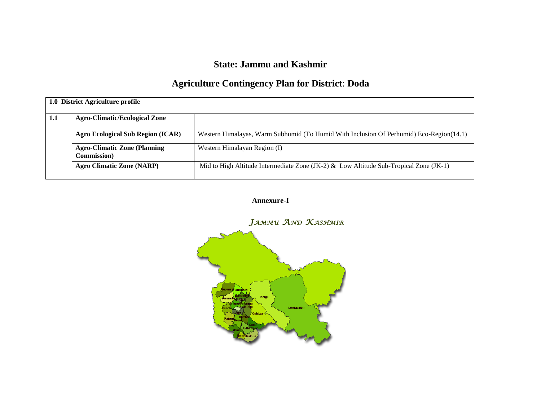## **State: Jammu and Kashmir**

# **Agriculture Contingency Plan for District**: **Doda**

|     | 1.0 District Agriculture profile         |                                                                                         |
|-----|------------------------------------------|-----------------------------------------------------------------------------------------|
| 1.1 | <b>Agro-Climatic/Ecological Zone</b>     |                                                                                         |
|     |                                          |                                                                                         |
|     | <b>Agro Ecological Sub Region (ICAR)</b> | Western Himalayas, Warm Subhumid (To Humid With Inclusion Of Perhumid) Eco-Region(14.1) |
|     | <b>Agro-Climatic Zone (Planning</b>      | Western Himalayan Region (I)                                                            |
|     | <b>Commission</b> )                      |                                                                                         |
|     | <b>Agro Climatic Zone (NARP)</b>         | Mid to High Altitude Intermediate Zone (JK-2) & Low Altitude Sub-Tropical Zone (JK-1)   |
|     |                                          |                                                                                         |

### **Annexure-I**

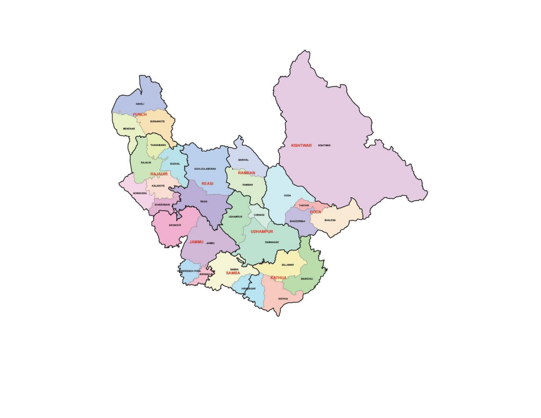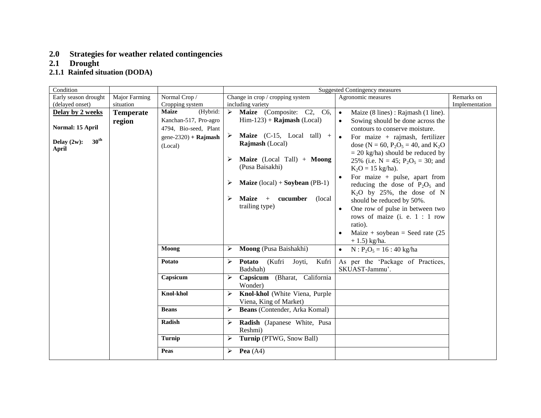#### **2.0 Strategies for weather related contingencies**

#### **2.1 Drought**

#### **2.1.1 Rainfed situation (DODA)**

| Condition               |                  |                          |   |                                                  | <b>Suggested Contingency measures</b>                                  |                |
|-------------------------|------------------|--------------------------|---|--------------------------------------------------|------------------------------------------------------------------------|----------------|
| Early season drought    | Major Farming    | Normal Crop /            |   | Change in crop / cropping system                 | Agronomic measures                                                     | Remarks on     |
| (delayed onset)         | situation        | Cropping system          |   | including variety                                |                                                                        | Implementation |
| Delay by 2 weeks        | <b>Temperate</b> | <b>Maize</b><br>(Hybrid: | ≻ | Maize (Composite: C2, C6,                        | Maize (8 lines): Rajmash (1 line).<br>$\bullet$                        |                |
|                         | region           | Kanchan-517, Pro-agro    |   | $\text{Him-123}$ + Rajmash (Local)               | Sowing should be done across the<br>$\bullet$                          |                |
| Normal: 15 April        |                  | 4794, Bio-seed, Plant    |   |                                                  | contours to conserve moisture.                                         |                |
| 30 <sup>th</sup>        |                  | $gene-2320$ + Rajmash    | ➤ | <b>Maize</b> (C-15, Local tall) +                | For maize $+$ rajmash, fertilizer                                      |                |
| Delay $(2w)$ :<br>April |                  | (Local)                  |   | Rajmash (Local)                                  | dose (N = 60, P <sub>2</sub> O <sub>5</sub> = 40, and K <sub>2</sub> O |                |
|                         |                  |                          |   |                                                  | $= 20$ kg/ha) should be reduced by                                     |                |
|                         |                  |                          | ➤ | Maize (Local Tall) + Moong                       | 25% (i.e. $N = 45$ ; $P_2O_5 = 30$ ; and                               |                |
|                         |                  |                          |   | (Pusa Baisakhi)                                  | $K_2O = 15$ kg/ha).                                                    |                |
|                         |                  |                          |   |                                                  | For maize $+$ pulse, apart from                                        |                |
|                         |                  |                          | ➤ | <b>Maize</b> $(local) +$ <b>Soybean</b> $(PB-1)$ | reducing the dose of $P_2O_5$ and                                      |                |
|                         |                  |                          |   |                                                  | $K_2O$ by 25%, the dose of N                                           |                |
|                         |                  |                          | ➤ | <b>Maize</b><br>cucumber<br>(local)<br>$+$       | should be reduced by 50%.                                              |                |
|                         |                  |                          |   | trailing type)                                   | One row of pulse in between two                                        |                |
|                         |                  |                          |   |                                                  | rows of maize (i. e. 1 : 1 row                                         |                |
|                         |                  |                          |   |                                                  | ratio).                                                                |                |
|                         |                  |                          |   |                                                  | Maize + soybean = Seed rate $(25$                                      |                |
|                         |                  |                          |   |                                                  | $+ 1.5$ ) kg/ha.                                                       |                |
|                         |                  | Moong                    | ➤ | Moong (Pusa Baishakhi)                           | $N : P_2O_5 = 16 : 40 \text{ kg/ha}$<br>$\bullet$                      |                |
|                         |                  | Potato                   | ➤ | <b>Potato</b><br>(Kufri<br>Joyti,<br>Kufri       | As per the 'Package of Practices,                                      |                |
|                         |                  |                          |   | Badshah)                                         | SKUAST-Jammu'.                                                         |                |
|                         |                  | Capsicum                 |   | (Bharat, California<br>Capsicum                  |                                                                        |                |
|                         |                  |                          |   | Wonder)                                          |                                                                        |                |
|                         |                  | <b>Knol-khol</b>         | ➤ | Knol-khol (White Viena, Purple                   |                                                                        |                |
|                         |                  |                          |   | Viena, King of Market)                           |                                                                        |                |
|                         |                  | <b>Beans</b>             | ⋗ | Beans (Contender, Arka Komal)                    |                                                                        |                |
|                         |                  | Radish                   | ⋗ | Radish (Japanese White, Pusa                     |                                                                        |                |
|                         |                  |                          |   | Reshmi)                                          |                                                                        |                |
|                         |                  | <b>Turnip</b>            | ➤ | Turnip (PTWG, Snow Ball)                         |                                                                        |                |
|                         |                  | Peas                     | ➤ | <b>Pea</b> $(A4)$                                |                                                                        |                |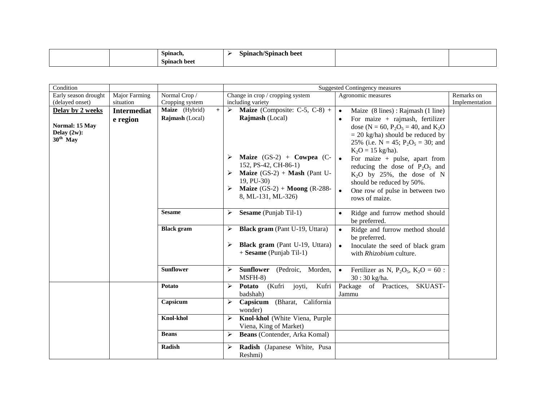| $\sim$<br>Spinach      | wai.<br>-beet<br>nanı<br>,,, |  |
|------------------------|------------------------------|--|
| $\sim$<br>Spinach beet |                              |  |

| Condition                                                          |                                |                                          |        |                                                                                                                                                                                                                                          | <b>Suggested Contingency measures</b>                                                                                                                                                                                                                                                                                                                                                                                                                                         |
|--------------------------------------------------------------------|--------------------------------|------------------------------------------|--------|------------------------------------------------------------------------------------------------------------------------------------------------------------------------------------------------------------------------------------------|-------------------------------------------------------------------------------------------------------------------------------------------------------------------------------------------------------------------------------------------------------------------------------------------------------------------------------------------------------------------------------------------------------------------------------------------------------------------------------|
| Early season drought<br>(delayed onset)                            | Major Farming<br>situation     | Normal Crop /<br>Cropping system         |        | Change in crop / cropping system<br>including variety                                                                                                                                                                                    | Remarks on<br>Agronomic measures<br>Implementation                                                                                                                                                                                                                                                                                                                                                                                                                            |
| Delay by 2 weeks<br>Normal: 15 May<br>Delay $(2w)$ :<br>$30th$ May | <b>Intermediat</b><br>e region | Maize (Hybrid)<br>$+$<br>Rajmash (Local) | ➤<br>➤ | <b>Maize</b> (Composite: C-5, C-8) +<br>Rajmash (Local)<br>Maize $(GS-2)$ + Cowpea $(C-$<br>152, PS-42, CH-86-1)<br><b>Maize</b> $(GS-2)$ + <b>Mash</b> (Pant U-<br>19, PU-30)<br>Maize $(GS-2)$ + Moong $(R-288-$<br>8, ML-131, ML-326) | Maize (8 lines): Rajmash (1 line)<br>$\bullet$<br>For maize $+$ rajmash, fertilizer<br>dose (N = 60, P <sub>2</sub> O <sub>5</sub> = 40, and K <sub>2</sub> O<br>$= 20$ kg/ha) should be reduced by<br>25% (i.e. $N = 45$ ; $P_2O_5 = 30$ ; and<br>$K_2O = 15$ kg/ha).<br>For maize $+$ pulse, apart from<br>$\bullet$<br>reducing the dose of $P_2O_5$ and<br>$K_2O$ by 25%, the dose of N<br>should be reduced by 50%.<br>One row of pulse in between two<br>rows of maize. |
|                                                                    |                                | <b>Sesame</b>                            | ➤      | Sesame (Punjab Til-1)                                                                                                                                                                                                                    | Ridge and furrow method should<br>be preferred.                                                                                                                                                                                                                                                                                                                                                                                                                               |
|                                                                    |                                | <b>Black</b> gram                        | ➤<br>➤ | Black gram (Pant U-19, Uttara)<br><b>Black gram</b> (Pant U-19, Uttara)<br>$+$ Sesame (Punjab Til-1)                                                                                                                                     | Ridge and furrow method should<br>$\bullet$<br>be preferred.<br>Inoculate the seed of black gram<br>$\bullet$<br>with <i>Rhizobium</i> culture.                                                                                                                                                                                                                                                                                                                               |
|                                                                    |                                | <b>Sunflower</b>                         | ➤      | <b>Sunflower</b><br>Morden,<br>(Pedroic,<br>MSFH-8)                                                                                                                                                                                      | Fertilizer as N, $P_2O_5$ , $K_2O = 60$ :<br>$\bullet$<br>30:30 kg/ha.                                                                                                                                                                                                                                                                                                                                                                                                        |
|                                                                    |                                | Potato                                   | ➤      | Kufri<br><b>Potato</b><br>(Kufri<br>joyti,<br>badshah)                                                                                                                                                                                   | Package of Practices,<br>SKUAST-<br>Jammu                                                                                                                                                                                                                                                                                                                                                                                                                                     |
|                                                                    |                                | Capsicum                                 | ➤      | (Bharat, California<br>Capsicum<br>wonder)                                                                                                                                                                                               |                                                                                                                                                                                                                                                                                                                                                                                                                                                                               |
|                                                                    |                                | <b>Knol-khol</b>                         | ➤      | Knol-khol (White Viena, Purple<br>Viena, King of Market)                                                                                                                                                                                 |                                                                                                                                                                                                                                                                                                                                                                                                                                                                               |
|                                                                    |                                | <b>Beans</b>                             | ➤      | <b>Beans</b> (Contender, Arka Komal)                                                                                                                                                                                                     |                                                                                                                                                                                                                                                                                                                                                                                                                                                                               |
|                                                                    |                                | Radish                                   | ➤      | Radish (Japanese White, Pusa<br>Reshmi)                                                                                                                                                                                                  |                                                                                                                                                                                                                                                                                                                                                                                                                                                                               |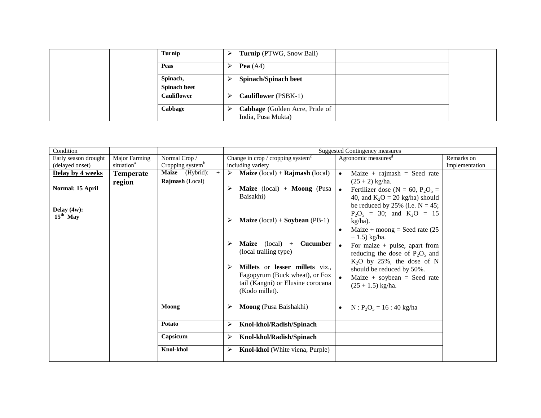|  | Turnip              | ↘ | <b>Turnip</b> (PTWG, Snow Ball) |  |
|--|---------------------|---|---------------------------------|--|
|  | Peas                | ↘ | Pea $(A4)$                      |  |
|  | Spinach,            | ↘ | <b>Spinach/Spinach beet</b>     |  |
|  | <b>Spinach beet</b> |   |                                 |  |
|  | <b>Cauliflower</b>  | ↘ | <b>Cauliflower</b> (PSBK-1)     |  |
|  | Cabbage             | ↘ | Cabbage (Golden Acre, Pride of  |  |
|  |                     |   | India, Pusa Mukta)              |  |

| Condition                    |                        |                               | <b>Suggested Contingency measures</b>                                                            |                |
|------------------------------|------------------------|-------------------------------|--------------------------------------------------------------------------------------------------|----------------|
| Early season drought         | Major Farming          | Normal Crop/                  | Agronomic measures <sup>d</sup><br>Change in crop / cropping system $\text{c}$                   | Remarks on     |
| (delayed onset)              | situation <sup>a</sup> | Cropping system <sup>b</sup>  | including variety                                                                                | Implementation |
| Delay by 4 weeks             | <b>Temperate</b>       | <b>Maize</b> (Hybrid):<br>$+$ | <b>Maize</b> $(local) + Rajmash (local)$<br>$\blacktriangleright$<br>Maize + rajmash = Seed rate |                |
|                              | region                 | Rajmash (Local)               | $(25 + 2)$ kg/ha.                                                                                |                |
| Normal: 15 April             |                        |                               | <b>Maize</b> (local) + <b>Moong</b> (Pusa<br>Fertilizer dose ( $N = 60$ , $P_2O_5 =$             |                |
|                              |                        |                               | Baisakhi)<br>40, and $K_2O = 20$ kg/ha) should                                                   |                |
|                              |                        |                               | be reduced by 25% (i.e. $N = 45$ ;                                                               |                |
| Delay $(4w)$ :<br>$15th$ May |                        |                               | $P_2O_5 = 30$ ; and $K_2O = 15$                                                                  |                |
|                              |                        |                               | <b>Maize</b> $(local) + Soybean (PB-1)$<br>➤<br>$kg/ha)$ .                                       |                |
|                              |                        |                               | Maize + moong = Seed rate $(25$                                                                  |                |
|                              |                        |                               | $+ 1.5$ ) kg/ha.                                                                                 |                |
|                              |                        |                               | <b>Maize</b> (local) $+$<br><b>Cucumber</b><br>➤<br>For maize $+$ pulse, apart from              |                |
|                              |                        |                               | (local trailing type)<br>reducing the dose of $P_2O_5$ and                                       |                |
|                              |                        |                               | $K_2O$ by 25%, the dose of N                                                                     |                |
|                              |                        |                               | Millets or lesser millets viz.,<br>➤<br>should be reduced by 50%.                                |                |
|                              |                        |                               | Fagopyrum (Buck wheat), or Fox<br>Maize + soybean = Seed rate                                    |                |
|                              |                        |                               | tail (Kangni) or Elusine corocana<br>$(25 + 1.5)$ kg/ha.                                         |                |
|                              |                        |                               | (Kodo millet).                                                                                   |                |
|                              |                        |                               |                                                                                                  |                |
|                              |                        | Moong                         | Moong (Pusa Baishakhi)<br>➤<br>$N : P_2O_5 = 16 : 40 \text{ kg/ha}$<br>$\bullet$                 |                |
|                              |                        |                               |                                                                                                  |                |
|                              |                        | Potato                        | Knol-khol/Radish/Spinach<br>➤                                                                    |                |
|                              |                        | Capsicum                      | Knol-khol/Radish/Spinach<br>➤                                                                    |                |
|                              |                        | <b>Knol-khol</b>              | Knol-khol (White viena, Purple)<br>⋗                                                             |                |
|                              |                        |                               |                                                                                                  |                |
|                              |                        |                               |                                                                                                  |                |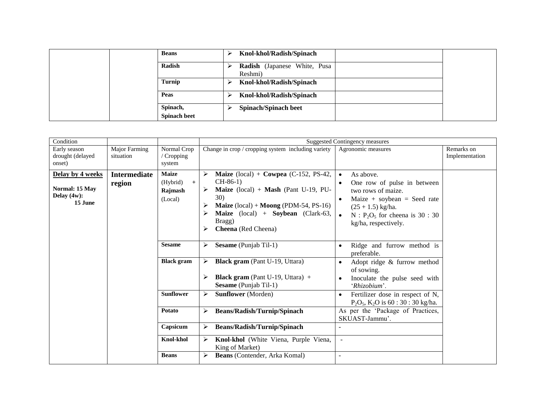|  | <b>Beans</b>                    |   | Knol-khol/Radish/Spinach                |  |
|--|---------------------------------|---|-----------------------------------------|--|
|  | Radish                          | ↘ | Radish (Japanese White, Pusa<br>Reshmi) |  |
|  | Turnip                          | ↘ | Knol-khol/Radish/Spinach                |  |
|  | Peas                            |   | Knol-khol/Radish/Spinach                |  |
|  | Spinach,<br><b>Spinach beet</b> | ↘ | <b>Spinach/Spinach beet</b>             |  |

| Condition                                                       |                                   |                                                       |                                                                                                                                                                                                                                                                             | <b>Suggested Contingency measures</b>                                                                                                                                                                                   |                              |
|-----------------------------------------------------------------|-----------------------------------|-------------------------------------------------------|-----------------------------------------------------------------------------------------------------------------------------------------------------------------------------------------------------------------------------------------------------------------------------|-------------------------------------------------------------------------------------------------------------------------------------------------------------------------------------------------------------------------|------------------------------|
| Early season<br>drought (delayed<br>onset)                      | <b>Major Farming</b><br>situation | Normal Crop<br>/ Cropping<br>system                   | Change in crop / cropping system including variety                                                                                                                                                                                                                          | Agronomic measures                                                                                                                                                                                                      | Remarks on<br>Implementation |
| Delay by 4 weeks<br>Normal: 15 May<br>Delay $(4w)$ :<br>15 June | <b>Intermediate</b><br>region     | <b>Maize</b><br>(Hybrid)<br>$+$<br>Rajmash<br>(Local) | Maize (local) + Cowpea (C-152, PS-42,<br>➤<br>$CH-86-1)$<br><b>Maize</b> (local) + <b>Mash</b> (Pant U-19, PU-<br>➤<br>30)<br><b>Maize</b> $(local) + Moong$ (PDM-54, PS-16)<br>➤<br><b>Maize</b> (local) + <b>Soybean</b> (Clark-63,<br>Bragg)<br>Cheena (Red Cheena)<br>➤ | As above.<br>$\bullet$<br>One row of pulse in between<br>$\bullet$<br>two rows of maize.<br>Maize + soybean = Seed rate<br>$\bullet$<br>$(25 + 1.5)$ kg/ha.<br>$N : P2O5$ for cheena is 30 : 30<br>kg/ha, respectively. |                              |
|                                                                 |                                   | <b>Sesame</b>                                         | Sesame (Punjab Til-1)<br>➤                                                                                                                                                                                                                                                  | Ridge and furrow method is<br>$\bullet$<br>preferable.                                                                                                                                                                  |                              |
|                                                                 |                                   | <b>Black</b> gram                                     | <b>Black gram</b> (Pant U-19, Uttara)<br>➤<br><b>Black gram</b> (Pant U-19, Uttara) $+$<br>➤<br>Sesame (Punjab Til-1)                                                                                                                                                       | Adopt ridge & furrow method<br>$\bullet$<br>of sowing.<br>Inoculate the pulse seed with<br>$\bullet$<br>'Rhizobium'.                                                                                                    |                              |
|                                                                 |                                   | <b>Sunflower</b>                                      | <b>Sunflower</b> (Morden)<br>➤                                                                                                                                                                                                                                              | Fertilizer dose in respect of N,<br>$\bullet$<br>$P_2O_5$ , K <sub>2</sub> O is 60 : 30 : 30 kg/ha.                                                                                                                     |                              |
|                                                                 |                                   | <b>Potato</b>                                         | <b>Beans/Radish/Turnip/Spinach</b><br>≻                                                                                                                                                                                                                                     | As per the 'Package of Practices,<br>SKUAST-Jammu'.                                                                                                                                                                     |                              |
|                                                                 |                                   | Capsicum                                              | <b>Beans/Radish/Turnip/Spinach</b><br>$\blacktriangleright$                                                                                                                                                                                                                 |                                                                                                                                                                                                                         |                              |
|                                                                 |                                   | <b>Knol-khol</b>                                      | Knol-khol (White Viena, Purple Viena,<br>➤<br>King of Market)                                                                                                                                                                                                               |                                                                                                                                                                                                                         |                              |
|                                                                 |                                   | <b>Beans</b>                                          | Beans (Contender, Arka Komal)<br>⋗                                                                                                                                                                                                                                          | $\overline{\phantom{a}}$                                                                                                                                                                                                |                              |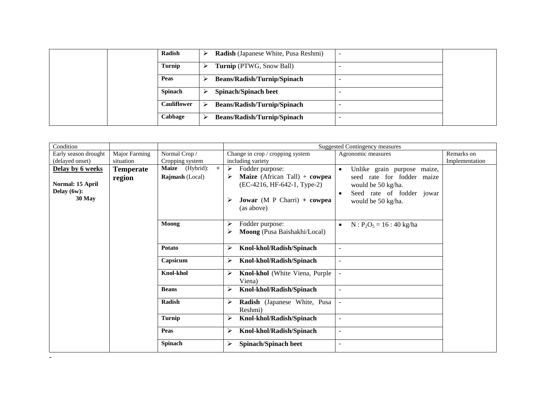|  | Radish             |   | <b>Radish</b> (Japanese White, Pusa Reshmi) |  |
|--|--------------------|---|---------------------------------------------|--|
|  | Turnip             |   | <b>Turnip</b> (PTWG, Snow Ball)             |  |
|  | Peas               |   | <b>Beans/Radish/Turnip/Spinach</b>          |  |
|  | <b>Spinach</b>     |   | <b>Spinach/Spinach beet</b>                 |  |
|  | <b>Cauliflower</b> | ⋗ | <b>Beans/Radish/Turnip/Spinach</b>          |  |
|  | Cabbage            | ↘ | <b>Beans/Radish/Turnip/Spinach</b>          |  |

| Condition                                    |               |                        |                                                                                                                                         | <b>Suggested Contingency measures</b>                                                                            |                |
|----------------------------------------------|---------------|------------------------|-----------------------------------------------------------------------------------------------------------------------------------------|------------------------------------------------------------------------------------------------------------------|----------------|
| Early season drought                         | Major Farming | Normal Crop /          | Change in crop / cropping system                                                                                                        | Agronomic measures                                                                                               | Remarks on     |
| (delayed onset)                              | situation     | Cropping system        | including variety                                                                                                                       |                                                                                                                  | Implementation |
| <b>Delay by 6 weeks</b>                      | Temperate     | Maize (Hybrid):<br>$+$ | Fodder purpose:<br>➤                                                                                                                    | Unlike grain purpose maize,<br>$\bullet$                                                                         |                |
| Normal: 15 April<br>Delay $(6w)$ :<br>30 May | region        | <b>Rajmash</b> (Local) | <b>Maize</b> (African Tall) $+$ cowpea<br>➤<br>$(EC-4216, HF-642-1, Type-2)$<br><b>Jowar</b> (M P Charri) $+$ cowpea<br>➤<br>(as above) | seed rate for fodder maize<br>would be 50 kg/ha.<br>Seed rate of fodder jowar<br>$\bullet$<br>would be 50 kg/ha. |                |
|                                              |               | Moong                  | Fodder purpose:<br>➤<br>Moong (Pusa Baishakhi/Local)<br>⋗                                                                               | $N: P_2O_5 = 16:40$ kg/ha<br>$\bullet$                                                                           |                |
|                                              |               | Potato                 | Knol-khol/Radish/Spinach<br>$\blacktriangleright$                                                                                       |                                                                                                                  |                |
|                                              |               | Capsicum               | Knol-khol/Radish/Spinach<br>➤                                                                                                           | $\overline{a}$                                                                                                   |                |
|                                              |               | <b>Knol-khol</b>       | Knol-khol (White Viena, Purple<br>➤<br>Viena)                                                                                           |                                                                                                                  |                |
|                                              |               | <b>Beans</b>           | Knol-khol/Radish/Spinach<br>⋗                                                                                                           | ÷                                                                                                                |                |
|                                              |               | <b>Radish</b>          | Radish (Japanese White, Pusa<br>➤<br>Reshmi)                                                                                            | $\overline{\phantom{a}}$                                                                                         |                |
|                                              |               | <b>Turnip</b>          | Knol-khol/Radish/Spinach<br>➤                                                                                                           | $\overline{a}$                                                                                                   |                |
|                                              |               | Peas                   | Knol-khol/Radish/Spinach<br>⋗                                                                                                           | $\overline{a}$                                                                                                   |                |
|                                              |               | Spinach                | <b>Spinach/Spinach beet</b><br>⋗                                                                                                        | $\overline{\phantom{0}}$                                                                                         |                |

-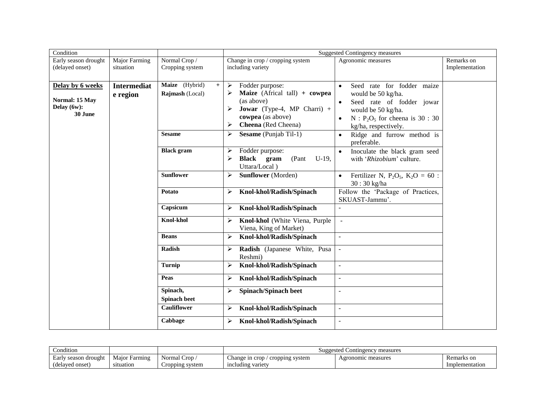| Condition                                                    |                                   |                                                           |                                                                                                                                                                                                                               | <b>Suggested Contingency measures</b>                                                                                                                                                                                                |                              |
|--------------------------------------------------------------|-----------------------------------|-----------------------------------------------------------|-------------------------------------------------------------------------------------------------------------------------------------------------------------------------------------------------------------------------------|--------------------------------------------------------------------------------------------------------------------------------------------------------------------------------------------------------------------------------------|------------------------------|
| Early season drought<br>(delayed onset)                      | <b>Major Farming</b><br>situation | Normal Crop /<br>Cropping system                          | Change in crop / cropping system<br>including variety                                                                                                                                                                         | Agronomic measures                                                                                                                                                                                                                   | Remarks on<br>Implementation |
| Delay by 6 weeks<br>Normal: 15 May<br>Delay (6w):<br>30 June | <b>Intermediat</b><br>e region    | Maize (Hybrid)<br>$+$<br>Rajmash (Local)<br><b>Sesame</b> | Fodder purpose:<br>$\blacktriangleright$<br>Maize (Africal tall) + cowpea<br>➤<br>(as above)<br><b>Jowar</b> (Type-4, MP Charri) +<br>➤<br>cowpea (as above)<br>Cheena (Red Cheena)<br>➤<br><b>Sesame</b> (Punjab Til-1)<br>➤ | Seed rate for fodder maize<br>$\bullet$<br>would be 50 kg/ha.<br>Seed rate of fodder jowar<br>$\bullet$<br>would be 50 kg/ha.<br>$N : P2O5$ for cheena is 30 : 30<br>kg/ha, respectively.<br>Ridge and furrow method is<br>$\bullet$ |                              |
|                                                              |                                   |                                                           |                                                                                                                                                                                                                               | preferable.                                                                                                                                                                                                                          |                              |
|                                                              |                                   | <b>Black</b> gram                                         | Fodder purpose:<br>➤<br>Black gram<br>$U-19$ ,<br>(Pant<br>➤<br>Uttara/Local)                                                                                                                                                 | Inoculate the black gram seed<br>$\bullet$<br>with 'Rhizobium' culture.                                                                                                                                                              |                              |
|                                                              |                                   | <b>Sunflower</b>                                          | <b>Sunflower</b> (Morden)<br>➤                                                                                                                                                                                                | Fertilizer N, $P_2O_5$ , $K_2O = 60$ :<br>$\bullet$<br>30:30 kg/ha                                                                                                                                                                   |                              |
|                                                              |                                   | Potato                                                    | Knol-khol/Radish/Spinach<br>➤                                                                                                                                                                                                 | Follow the 'Package of Practices,<br>SKUAST-Jammu'.                                                                                                                                                                                  |                              |
|                                                              |                                   | Capsicum                                                  | Knol-khol/Radish/Spinach<br>➤                                                                                                                                                                                                 |                                                                                                                                                                                                                                      |                              |
|                                                              |                                   | <b>Knol-khol</b>                                          | Knol-khol (White Viena, Purple<br>➤<br>Viena, King of Market)                                                                                                                                                                 | $\sim$                                                                                                                                                                                                                               |                              |
|                                                              |                                   | <b>Beans</b>                                              | Knol-khol/Radish/Spinach<br>➤                                                                                                                                                                                                 |                                                                                                                                                                                                                                      |                              |
|                                                              |                                   | Radish                                                    | Radish (Japanese White, Pusa<br>➤<br>Reshmi)                                                                                                                                                                                  |                                                                                                                                                                                                                                      |                              |
|                                                              |                                   | <b>Turnip</b>                                             | Knol-khol/Radish/Spinach<br>⋗                                                                                                                                                                                                 | ÷,                                                                                                                                                                                                                                   |                              |
|                                                              |                                   | Peas                                                      | Knol-khol/Radish/Spinach<br>➤                                                                                                                                                                                                 | $\overline{a}$                                                                                                                                                                                                                       |                              |
|                                                              |                                   | Spinach,<br><b>Spinach beet</b>                           | <b>Spinach/Spinach beet</b><br>➤                                                                                                                                                                                              | ÷,                                                                                                                                                                                                                                   |                              |
|                                                              |                                   | <b>Cauliflower</b>                                        | Knol-khol/Radish/Spinach<br>➤                                                                                                                                                                                                 | $\blacksquare$                                                                                                                                                                                                                       |                              |
|                                                              |                                   | Cabbage                                                   | Knol-khol/Radish/Spinach<br>➤                                                                                                                                                                                                 | $\blacksquare$                                                                                                                                                                                                                       |                              |

| $\cdots$<br>ondition_   |                  |                          | Suggested Contingency measures         |                    |                |  |  |  |
|-------------------------|------------------|--------------------------|----------------------------------------|--------------------|----------------|--|--|--|
| season drought<br>Earlv | Maior<br>Farmıng | $\sim$<br>Crop<br>Normal | : system<br>∟hange in cron<br>cropping | Agronomic measures | Remarks on     |  |  |  |
| (delaved onset)         | situation        | Cropping system          | including variety                      |                    | Implementation |  |  |  |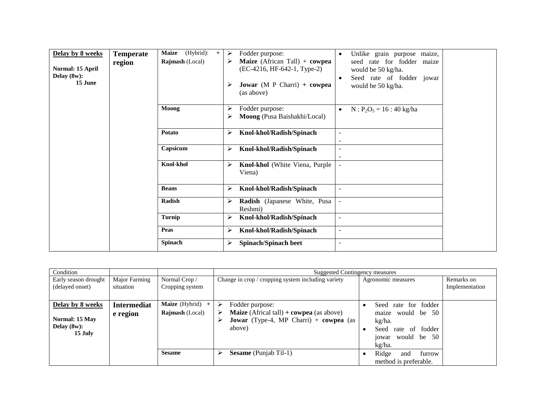| Delay by 8 weeks<br>Normal: 15 April<br>Delay $(8w)$ :<br>15 June | <b>Temperate</b><br>region | (Hybrid):<br><b>Maize</b><br>$+$<br><b>Rajmash</b> (Local) | ➤<br>➤<br>➤ | Fodder purpose:<br>Maize (African Tall) + cowpea<br>$(EC-4216, HF-642-1, Type-2)$<br><b>Jowar</b> (M P Charri) $+$ cowpea<br>(as above) | Unlike grain purpose maize,<br>$\bullet$<br>seed rate for fodder maize<br>would be 50 kg/ha.<br>Seed rate of fodder jowar<br>$\bullet$<br>would be 50 kg/ha. |
|-------------------------------------------------------------------|----------------------------|------------------------------------------------------------|-------------|-----------------------------------------------------------------------------------------------------------------------------------------|--------------------------------------------------------------------------------------------------------------------------------------------------------------|
|                                                                   |                            | Moong                                                      | ⋗<br>⋗      | Fodder purpose:<br>Moong (Pusa Baishakhi/Local)                                                                                         | $N: P_2O_5 = 16: 40$ kg/ha<br>$\bullet$                                                                                                                      |
|                                                                   |                            | Potato                                                     | ➤           | Knol-khol/Radish/Spinach                                                                                                                | $\overline{\phantom{a}}$                                                                                                                                     |
|                                                                   |                            | Capsicum                                                   | ⋗           | Knol-khol/Radish/Spinach                                                                                                                | $\overline{a}$                                                                                                                                               |
|                                                                   |                            | <b>Knol-khol</b>                                           | ➤           | Knol-khol (White Viena, Purple<br>Viena)                                                                                                |                                                                                                                                                              |
|                                                                   |                            | <b>Beans</b>                                               | ➤           | Knol-khol/Radish/Spinach                                                                                                                | $\overline{a}$                                                                                                                                               |
|                                                                   |                            | Radish                                                     | ➤           | Radish (Japanese White, Pusa<br>Reshmi)                                                                                                 |                                                                                                                                                              |
|                                                                   |                            | Turnip                                                     | ⋗           | Knol-khol/Radish/Spinach                                                                                                                | $\blacksquare$                                                                                                                                               |
|                                                                   |                            | Peas                                                       | ≻           | Knol-khol/Radish/Spinach                                                                                                                | $\overline{\phantom{0}}$                                                                                                                                     |
|                                                                   |                            | <b>Spinach</b>                                             | ⋗           | <b>Spinach/Spinach beet</b>                                                                                                             | ÷                                                                                                                                                            |

| Condition                                                       |                                |                                            | Suggested Contingency measures                                                                                                                                 |                                                                                                                  |                              |  |  |  |  |
|-----------------------------------------------------------------|--------------------------------|--------------------------------------------|----------------------------------------------------------------------------------------------------------------------------------------------------------------|------------------------------------------------------------------------------------------------------------------|------------------------------|--|--|--|--|
| Early season drought<br>(delayed onset)                         | Major Farming<br>situation     | Normal Crop/<br>Cropping system            | Change in crop / cropping system including variety                                                                                                             | Agronomic measures                                                                                               | Remarks on<br>Implementation |  |  |  |  |
| Delay by 8 weeks<br>Normal: 15 May<br>Delay $(8w)$ :<br>15 July | <b>Intermediat</b><br>e region | Maize (Hybrid) +<br><b>Rajmash</b> (Local) | Fodder purpose:<br>➤<br><b>Maize</b> (Africal tall) $+$ <b>cowpea</b> (as above)<br>➤<br><b>Jowar</b> (Type-4, MP Charri) $+$ <b>cowpea</b> (as<br>⋗<br>above) | Seed rate for fodder<br>maize would be 50<br>kg/ha.<br>Seed<br>rate of fodder<br>jowar would be<br>-50<br>kg/ha. |                              |  |  |  |  |
|                                                                 |                                | <b>Sesame</b>                              | <b>Sesame</b> (Punjab Til-1)<br>⋗                                                                                                                              | Ridge<br>furrow<br>and<br>method is preferable.                                                                  |                              |  |  |  |  |